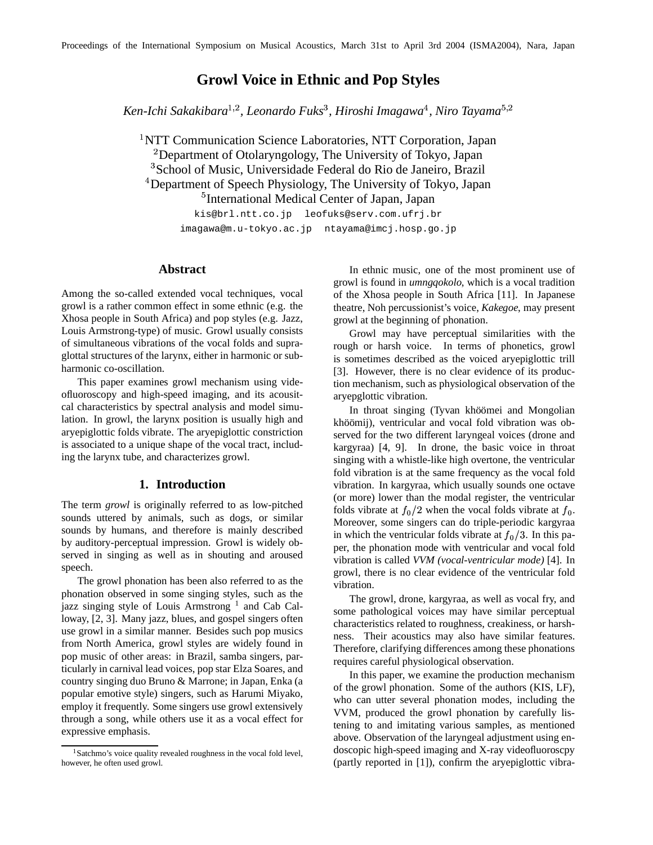# **Growl Voice in Ethnic and Pop Styles**

 $\kappa$ en-Ichi Sakakibara<sup>1,2</sup>, Leonardo Fuks $^3$ , Hiroshi Imagawa $^4$ , Niro Tayama $^{5,2}$ 

<sup>1</sup>NTT Communication Science Laboratories, NTT Corporation, Japan  $^{2}$ Department of Otolaryngology, The University of Tokyo, Japan <sup>3</sup>School of Music, Universidade Federal do Rio de Janeiro, Brazil <sup>4</sup>Department of Speech Physiology, The University of Tokyo, Japan <sup>5</sup>International Medical Center of Japan, Japan

> kis@brl.ntt.co.jp leofuks@serv.com.ufrj.br imagawa@m.u-tokyo.ac.jp ntayama@imcj.hosp.go.jp

### **Abstract**

Among the so-called extended vocal techniques, vocal growl is a rather common effect in some ethnic (e.g. the Xhosa people in South Africa) and pop styles (e.g. Jazz, Louis Armstrong-type) of music. Growl usually consists of simultaneous vibrations of the vocal folds and supraglottal structures of the larynx, either in harmonic or subharmonic co-oscillation.

This paper examines growl mechanism using videofluoroscopy and high-speed imaging, and its acousitcal characteristics by spectral analysis and model simulation. In growl, the larynx position is usually high and aryepiglottic folds vibrate. The aryepiglottic constriction is associated to a unique shape of the vocal tract, including the larynx tube, and characterizes growl.

#### **1. Introduction**

The term *growl* is originally referred to as low-pitched sounds uttered by animals, such as dogs, or similar sounds by humans, and therefore is mainly described by auditory-perceptual impression. Growl is widely observed in singing as well as in shouting and aroused speech.

The growl phonation has been also referred to as the phonation observed in some singing styles, such as the jazz singing style of Louis Armstrong 1 and Cab Calloway, [2, 3]. Many jazz, blues, and gospel singers often use growl in a similar manner. Besides such pop musics from North America, growl styles are widely found in pop music of other areas: in Brazil, samba singers, particularly in carnival lead voices, pop star Elza Soares, and country singing duo Bruno & Marrone; in Japan, Enka (a popular emotive style) singers, such as Harumi Miyako, employ it frequently. Some singers use growl extensively through a song, while others use it as a vocal effect for expressive emphasis.

In ethnic music, one of the most prominent use of growl is found in *umngqokolo*, which is a vocal tradition of the Xhosa people in South Africa [11]. In Japanese theatre, Noh percussionist's voice, *Kakegoe*, may present growl at the beginning of phonation.

Growl may have perceptual similarities with the rough or harsh voice. In terms of phonetics, growl is sometimes described as the voiced aryepiglottic trill [3]. However, there is no clear evidence of its production mechanism, such as physiological observation of the aryepglottic vibration.

In throat singing (Tyvan khöömei and Mongolian khöömij), ventricular and vocal fold vibration was observed for the two different laryngeal voices (drone and kargyraa) [4, 9]. In drone, the basic voice in throat singing with a whistle-like high overtone, the ventricular fold vibration is at the same frequency as the vocal fold vibration. In kargyraa, which usually sounds one octave (or more) lower than the modal register, the ventricular folds vibrate at  $f_0/2$  when the vocal folds vibrate at  $f_0$ . Moreover, some singers can do triple-periodic kargyraa in which the ventricular folds vibrate at  $f_0/3$ . In this paper, the phonation mode with ventricular and vocal fold vibration is called *VVM (vocal-ventricular mode)* [4]. In growl, there is no clear evidence of the ventricular fold vibration.

The growl, drone, kargyraa, as well as vocal fry, and some pathological voices may have similar perceptual characteristics related to roughness, creakiness, or harshness. Their acoustics may also have similar features. Therefore, clarifying differences among these phonations requires careful physiological observation.

In this paper, we examine the production mechanism of the growl phonation. Some of the authors (KIS, LF), who can utter several phonation modes, including the VVM, produced the growl phonation by carefully listening to and imitating various samples, as mentioned above. Observation of the laryngeal adjustment using endoscopic high-speed imaging and X-ray videofluoroscpy (partly reported in [1]), confirm the aryepiglottic vibra-

<sup>&</sup>lt;sup>1</sup>Satchmo's voice quality revealed roughness in the vocal fold level, however, he often used growl.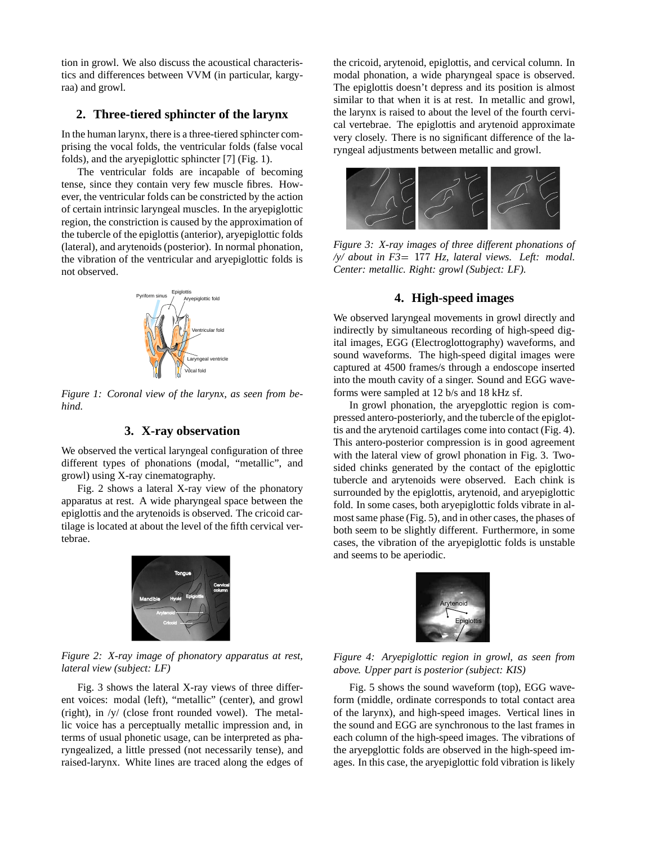tion in growl. We also discuss the acoustical characteristics and differences between VVM (in particular, kargyraa) and growl.

## **2. Three-tiered sphincter of the larynx**

In the human larynx, there is a three-tiered sphincter comprising the vocal folds, the ventricular folds (false vocal folds), and the aryepiglottic sphincter [7] (Fig. 1).

The ventricular folds are incapable of becoming tense, since they contain very few muscle fibres. However, the ventricular folds can be constricted by the action of certain intrinsic laryngeal muscles. In the aryepiglottic region, the constriction is caused by the approximation of the tubercle of the epiglottis (anterior), aryepiglottic folds (lateral), and arytenoids (posterior). In normal phonation, the vibration of the ventricular and aryepiglottic folds is not observed.



*Figure 1: Coronal view of the larynx, as seen from behind.*

### **3. X-ray observation**

We observed the vertical laryngeal configuration of three different types of phonations (modal, "metallic", and growl) using X-ray cinematography.

Fig. 2 shows a lateral X-ray view of the phonatory apparatus at rest. A wide pharyngeal space between the epiglottis and the arytenoids is observed. The cricoid cartilage is located at about the level of the fifth cervical vertebrae.

Tongue Mandible Hyold Epiglottis Cervical column

*Figure 2: X-ray image of phonatory apparatus at rest, lateral view (subject: LF)*

Cricoid Arytenoid

Fig. 3 shows the lateral X-ray views of three different voices: modal (left), "metallic" (center), and growl (right), in /y/ (close front rounded vowel). The metallic voice has a perceptually metallic impression and, in terms of usual phonetic usage, can be interpreted as pharyngealized, a little pressed (not necessarily tense), and raised-larynx. White lines are traced along the edges of the cricoid, arytenoid, epiglottis, and cervical column. In modal phonation, a wide pharyngeal space is observed. The epiglottis doesn't depress and its position is almost similar to that when it is at rest. In metallic and growl, the larynx is raised to about the level of the fourth cervical vertebrae. The epiglottis and arytenoid approximate very closely. There is no significant difference of the laryngeal adjustments between metallic and growl.



*Figure 3: X-ray images of three different phonations of /y/ about in F3* -- *Hz, lateral views. Left: modal. Center: metallic. Right: growl (Subject: LF).*

## **4. High-speed images**

We observed laryngeal movements in growl directly and indirectly by simultaneous recording of high-speed digital images, EGG (Electroglottography) waveforms, and sound waveforms. The high-speed digital images were captured at 4500 frames/s through a endoscope inserted into the mouth cavity of a singer. Sound and EGG waveforms were sampled at 12 b/s and 18 kHz sf.

In growl phonation, the aryepglottic region is compressed antero-posteriorly, and the tubercle of the epiglottis and the arytenoid cartilages come into contact (Fig. 4). This antero-posterior compression is in good agreement with the lateral view of growl phonation in Fig. 3. Twosided chinks generated by the contact of the epiglottic tubercle and arytenoids were observed. Each chink is surrounded by the epiglottis, arytenoid, and aryepiglottic fold. In some cases, both aryepiglottic folds vibrate in almost same phase (Fig. 5), and in other cases, the phases of both seem to be slightly different. Furthermore, in some cases, the vibration of the aryepiglottic folds is unstable and seems to be aperiodic.



*Figure 4: Aryepiglottic region in growl, as seen from above. Upper part is posterior (subject: KIS)*

Fig. 5 shows the sound waveform (top), EGG waveform (middle, ordinate corresponds to total contact area of the larynx), and high-speed images. Vertical lines in the sound and EGG are synchronous to the last frames in each column of the high-speed images. The vibrations of the aryepglottic folds are observed in the high-speed images. In this case, the aryepiglottic fold vibration is likely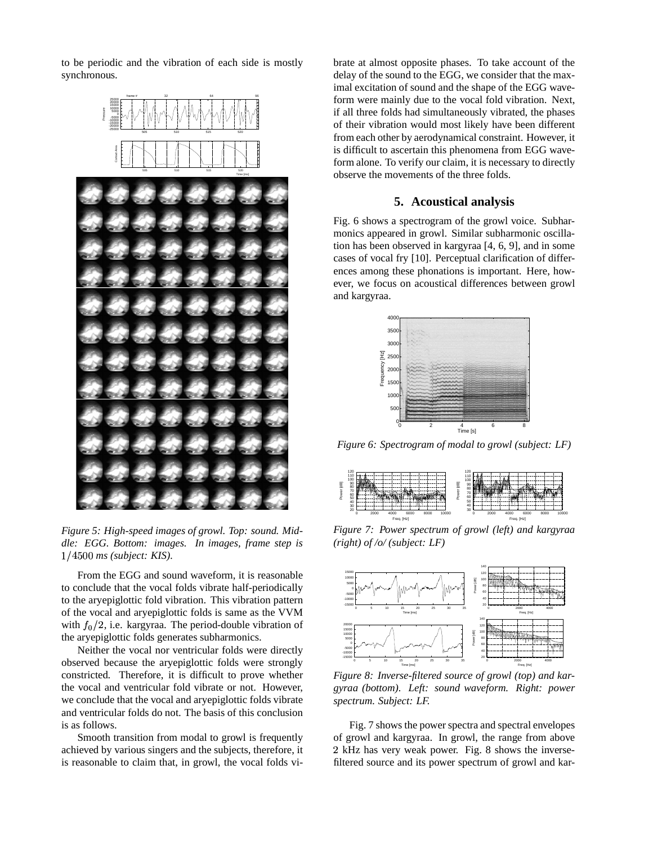to be periodic and the vibration of each side is mostly synchronous.



*Figure 5: High-speed images of growl. Top: sound. Middle: EGG. Bottom: images. In images, frame step is* - *ms (subject: KIS).*

From the EGG and sound waveform, it is reasonable to conclude that the vocal folds vibrate half-periodically to the aryepiglottic fold vibration. This vibration pattern of the vocal and aryepiglottic folds is same as the VVM with  $f<sub>0</sub>/2$ , i.e. kargyraa. The period-double vibration of the aryepiglottic folds generates subharmonics.

Neither the vocal nor ventricular folds were directly observed because the aryepiglottic folds were strongly constricted. Therefore, it is difficult to prove whether the vocal and ventricular fold vibrate or not. However, we conclude that the vocal and aryepiglottic folds vibrate and ventricular folds do not. The basis of this conclusion is as follows.

Smooth transition from modal to growl is frequently achieved by various singers and the subjects, therefore, it is reasonable to claim that, in growl, the vocal folds vibrate at almost opposite phases. To take account of the delay of the sound to the EGG, we consider that the maximal excitation of sound and the shape of the EGG waveform were mainly due to the vocal fold vibration. Next, if all three folds had simultaneously vibrated, the phases of their vibration would most likely have been different from each other by aerodynamical constraint. However, it is difficult to ascertain this phenomena from EGG waveform alone. To verify our claim, it is necessary to directly observe the movements of the three folds.

## **5. Acoustical analysis**

Fig. 6 shows a spectrogram of the growl voice. Subharmonics appeared in growl. Similar subharmonic oscillation has been observed in kargyraa [4, 6, 9], and in some cases of vocal fry [10]. Perceptual clarification of differences among these phonations is important. Here, however, we focus on acoustical differences between growl and kargyraa.



*Figure 6: Spectrogram of modal to growl (subject: LF)*



*Figure 7: Power spectrum of growl (left) and kargyraa (right) of /o/ (subject: LF)*



*Figure 8: Inverse-filtered source of growl (top) and kargyraa (bottom). Left: sound waveform. Right: power spectrum. Subject: LF.*

Fig. 7 shows the power spectra and spectral envelopes of growl and kargyraa. In growl, the range from above 2 kHz has very weak power. Fig. 8 shows the inversefiltered source and its power spectrum of growl and kar-